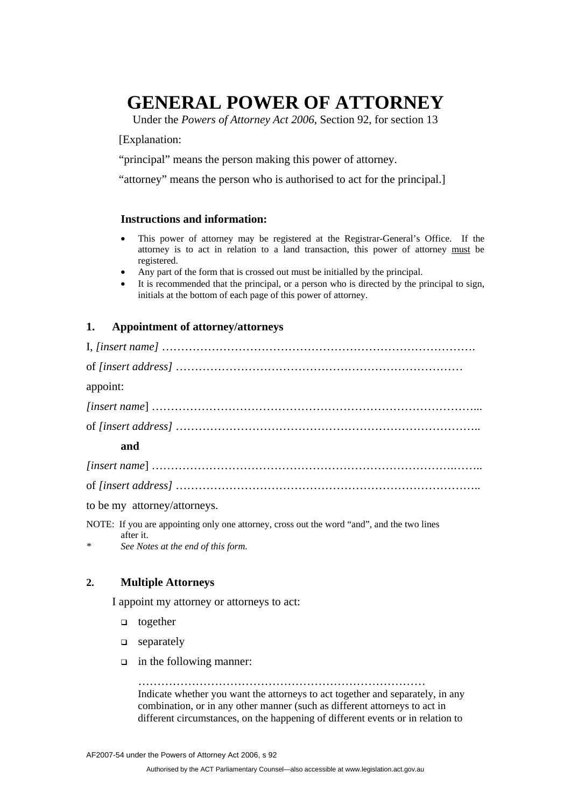# **GENERAL POWER OF ATTORNEY**

Under the *Powers of Attorney Act 2006*, Section 92, for section 13

[Explanation:

"principal" means the person making this power of attorney.

"attorney" means the person who is authorised to act for the principal.]

## **Instructions and information:**

- This power of attorney may be registered at the Registrar-General's Office. If the attorney is to act in relation to a land transaction, this power of attorney must be registered.
- Any part of the form that is crossed out must be initialled by the principal.
- It is recommended that the principal, or a person who is directed by the principal to sign, initials at the bottom of each page of this power of attorney.

## **1. Appointment of attorney/attorneys**

| appoint:                     |
|------------------------------|
|                              |
|                              |
| and                          |
|                              |
|                              |
| to be my attorney/attorneys. |

NOTE: If you are appointing only one attorney, cross out the word "and", and the two lines after it.

*\* See Notes at the end of this form.*

# **2. Multiple Attorneys**

I appoint my attorney or attorneys to act:

- $\Box$  together
- $\Box$  separately
- $\Box$  in the following manner:

…………………………………………………………………

Indicate whether you want the attorneys to act together and separately, in any combination, or in any other manner (such as different attorneys to act in different circumstances, on the happening of different events or in relation to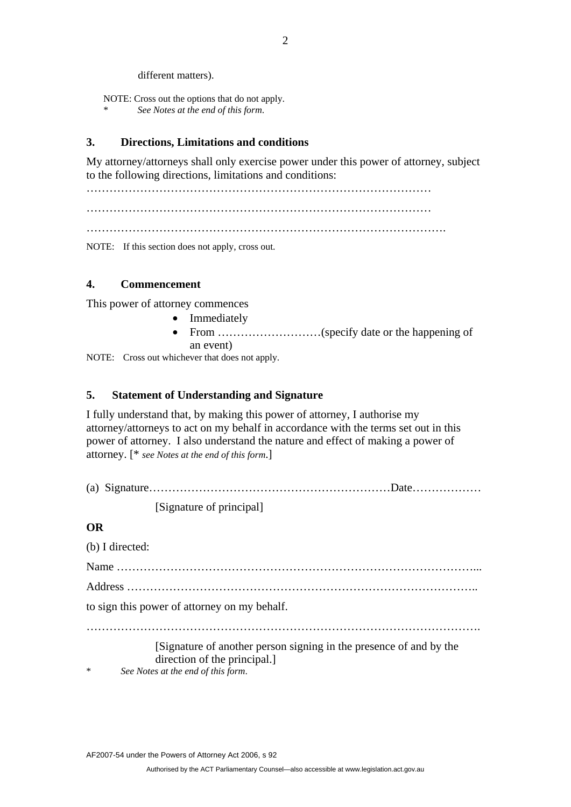different matters).

NOTE: Cross out the options that do not apply. \* *See Notes at the end of this form*.

# **3. Directions, Limitations and conditions**

My attorney/attorneys shall only exercise power under this power of attorney, subject to the following directions, limitations and conditions:

………………………………………………………………………………

………………………………………………………………………………

 $\mathcal{L}^{\text{max}}$ 

NOTE: If this section does not apply, cross out.

# **4. Commencement**

This power of attorney commences

- Immediately
- From ………………………(specify date or the happening of an event)

NOTE: Cross out whichever that does not apply.

# **5. Statement of Understanding and Signature**

I fully understand that, by making this power of attorney, I authorise my attorney/attorneys to act on my behalf in accordance with the terms set out in this power of attorney. I also understand the nature and effect of making a power of attorney. [\* *see Notes at the end of this form*.]

(a) Signature………………………………………………………Date………………

[Signature of principal]

# **OR**

|        | (b) I directed:                                                    |
|--------|--------------------------------------------------------------------|
|        |                                                                    |
|        |                                                                    |
|        | to sign this power of attorney on my behalf.                       |
|        |                                                                    |
|        | [Signature of another person signing in the presence of and by the |
|        | direction of the principal.                                        |
| $\ast$ | See Notes at the end of this form.                                 |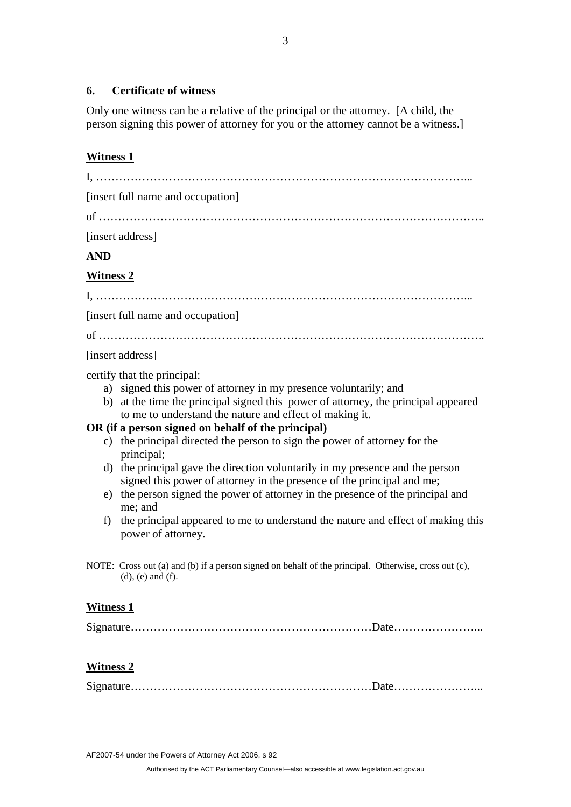# **6. Certificate of witness**

Only one witness can be a relative of the principal or the attorney. [A child, the person signing this power of attorney for you or the attorney cannot be a witness.]

# **Witness 1**

| [insert full name and occupation]                                                                                                                                                                                                                                                                                                                                                                                                                                                                                                                                                                                                                                                                                                                                          |  |
|----------------------------------------------------------------------------------------------------------------------------------------------------------------------------------------------------------------------------------------------------------------------------------------------------------------------------------------------------------------------------------------------------------------------------------------------------------------------------------------------------------------------------------------------------------------------------------------------------------------------------------------------------------------------------------------------------------------------------------------------------------------------------|--|
|                                                                                                                                                                                                                                                                                                                                                                                                                                                                                                                                                                                                                                                                                                                                                                            |  |
| [insert address]                                                                                                                                                                                                                                                                                                                                                                                                                                                                                                                                                                                                                                                                                                                                                           |  |
| <b>AND</b>                                                                                                                                                                                                                                                                                                                                                                                                                                                                                                                                                                                                                                                                                                                                                                 |  |
| <b>Witness 2</b>                                                                                                                                                                                                                                                                                                                                                                                                                                                                                                                                                                                                                                                                                                                                                           |  |
|                                                                                                                                                                                                                                                                                                                                                                                                                                                                                                                                                                                                                                                                                                                                                                            |  |
| [insert full name and occupation]                                                                                                                                                                                                                                                                                                                                                                                                                                                                                                                                                                                                                                                                                                                                          |  |
|                                                                                                                                                                                                                                                                                                                                                                                                                                                                                                                                                                                                                                                                                                                                                                            |  |
| [insert address]                                                                                                                                                                                                                                                                                                                                                                                                                                                                                                                                                                                                                                                                                                                                                           |  |
| certify that the principal:<br>a) signed this power of attorney in my presence voluntarily; and<br>b) at the time the principal signed this power of attorney, the principal appeared<br>to me to understand the nature and effect of making it.<br>OR (if a person signed on behalf of the principal)<br>c) the principal directed the person to sign the power of attorney for the<br>principal;<br>d) the principal gave the direction voluntarily in my presence and the person<br>signed this power of attorney in the presence of the principal and me;<br>e) the person signed the power of attorney in the presence of the principal and<br>me; and<br>the principal appeared to me to understand the nature and effect of making this<br>f)<br>power of attorney. |  |
| NOTE: Cross out (a) and (b) if a person signed on behalf of the principal. Otherwise, cross out (c),<br>$(d)$ , $(e)$ and $(f)$ .                                                                                                                                                                                                                                                                                                                                                                                                                                                                                                                                                                                                                                          |  |
| <u>Witness 1</u><br><u>Witness 2</u>                                                                                                                                                                                                                                                                                                                                                                                                                                                                                                                                                                                                                                                                                                                                       |  |
|                                                                                                                                                                                                                                                                                                                                                                                                                                                                                                                                                                                                                                                                                                                                                                            |  |

AF2007-54 under the Powers of Attorney Act 2006, s 92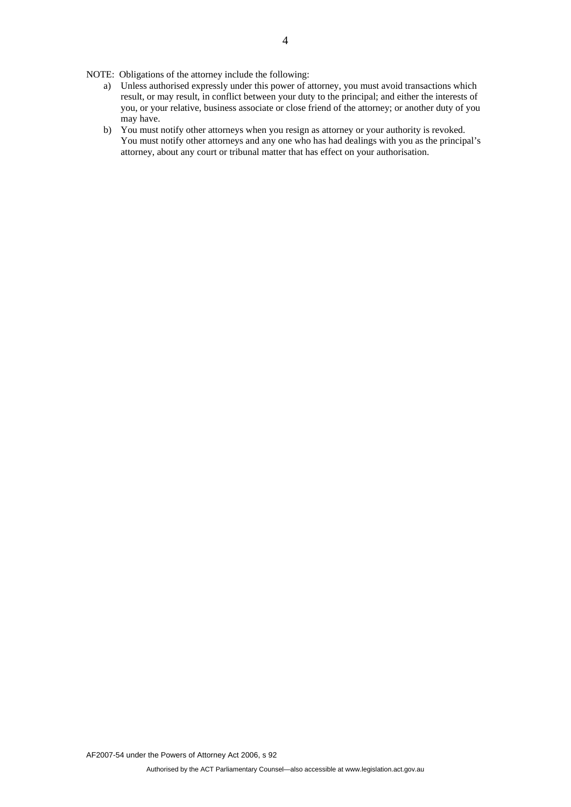NOTE: Obligations of the attorney include the following:

- a) Unless authorised expressly under this power of attorney, you must avoid transactions which result, or may result, in conflict between your duty to the principal; and either the interests of you, or your relative, business associate or close friend of the attorney; or another duty of you may have.
- b) You must notify other attorneys when you resign as attorney or your authority is revoked. You must notify other attorneys and any one who has had dealings with you as the principal's attorney, about any court or tribunal matter that has effect on your authorisation.